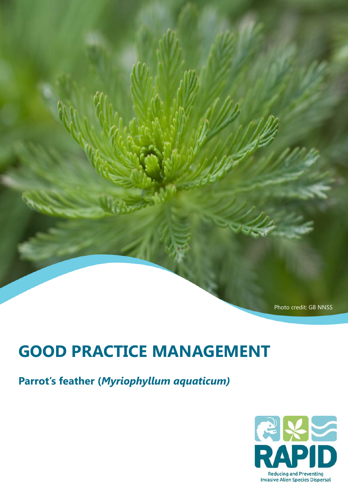Photo credit: GB NNSS

# **GOOD PRACTICE MANAGEMENT**

**Parrot's feather (***Myriophyllum aquaticum)*

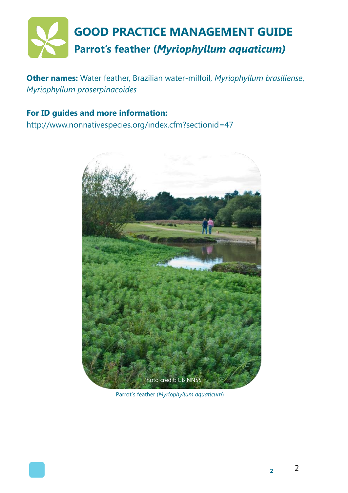

**Other names:** Water feather, Brazilian water-milfoil, *Myriophyllum brasiliense*, *Myriophyllum proserpinacoides*

#### **For ID guides and more information:**

http://www.nonnativespecies.org/index.cfm?sectionid=47



Parrot's feather (*Myriophyllum aquaticum*)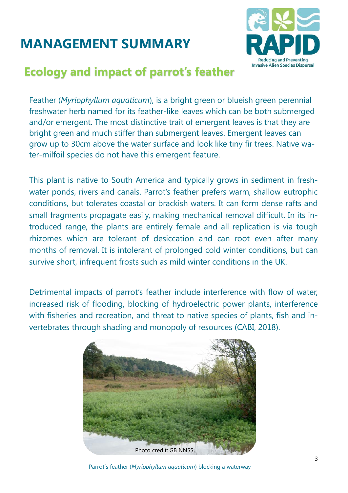# **MANAGEMENT SUMMARY**



#### **Ecology and impact of parrot's feather**

Feather (*Myriophyllum aquaticum*), is a bright green or blueish green perennial freshwater herb named for its feather-like leaves which can be both submerged and/or emergent. The most distinctive trait of emergent leaves is that they are bright green and much stiffer than submergent leaves. Emergent leaves can grow up to 30cm above the water surface and look like tiny fir trees. Native water-milfoil species do not have this emergent feature.

This plant is native to South America and typically grows in sediment in freshwater ponds, rivers and canals. Parrot's feather prefers warm, shallow eutrophic conditions, but tolerates coastal or brackish waters. It can form dense rafts and small fragments propagate easily, making mechanical removal difficult. In its introduced range, the plants are entirely female and all replication is via tough rhizomes which are tolerant of desiccation and can root even after many months of removal. It is intolerant of prolonged cold winter conditions, but can survive short, infrequent frosts such as mild winter conditions in the UK.

Detrimental impacts of parrot's feather include interference with flow of water, increased risk of flooding, blocking of hydroelectric power plants, interference with fisheries and recreation, and threat to native species of plants, fish and invertebrates through shading and monopoly of resources (CABI, 2018).



Parrot's feather (*Myriophyllum aquaticum*) blocking a waterway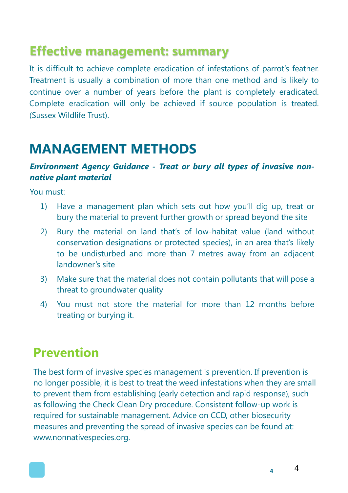## **Effective management: summary**

It is difficult to achieve complete eradication of infestations of parrot's feather. Treatment is usually a combination of more than one method and is likely to continue over a number of years before the plant is completely eradicated. Complete eradication will only be achieved if source population is treated. (Sussex Wildlife Trust).

## **MANAGEMENT METHODS**

#### *Environment Agency Guidance - Treat or bury all types of invasive nonnative plant material*

You must:

- 1) Have a management plan which sets out how you'll dig up, treat or bury the material to prevent further growth or spread beyond the site
- 2) Bury the material on land that's of low-habitat value (land without conservation designations or protected species), in an area that's likely to be undisturbed and more than 7 metres away from an adjacent landowner's site
- 3) Make sure that the material does not contain pollutants that will pose a threat to groundwater quality
- 4) You must not store the material for more than 12 months before treating or burying it.

### **Prevention**

The best form of invasive [species m](http://keys.lucidcentral.org/keys/v3/eafrinet/weeds/key/weeds/Media/Html/glossary.htm#species)anagement is prevention. If prevention is no longer possible, it is best to treat the [weed i](http://keys.lucidcentral.org/keys/v3/eafrinet/weeds/key/weeds/Media/Html/glossary.htm#weed)nfestations when they are small to prevent them from establishing (early detection and rapid response), such as following the Check Clean Dry procedure. Consistent follow-up work is required for sustainable management. Advice on CCD, other biosecurity measures and preventing the spread of invasive species can be found at: www.nonnativespecies.org.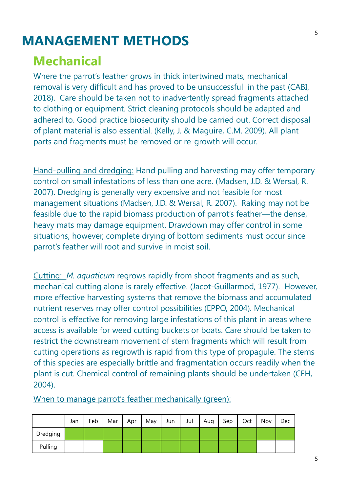## **MANAGEMENT METHODS**

## **Mechanical**

Where the parrot's feather grows in thick intertwined mats, mechanical removal is very difficult and has proved to be unsuccessful in the past (CABI, 2018). Care should be taken not to inadvertently spread fragments attached to clothing or equipment. Strict cleaning protocols should be adapted and adhered to. Good practice biosecurity should be carried out. Correct disposal of plant material is also essential. (Kelly, J. & Maguire, C.M. 2009). All plant parts and fragments must be removed or re-growth will occur.

Hand-pulling and dredging: Hand pulling and harvesting may offer temporary control on small infestations of less than one acre. (Madsen, J.D. & Wersal, R. 2007). Dredging is generally very expensive and not feasible for most management situations (Madsen, J.D. & Wersal, R. 2007). Raking may not be feasible due to the rapid biomass production of parrot's feather—the dense, heavy mats may damage equipment. Drawdown may offer control in some situations, however, complete drying of bottom sediments must occur since parrot's feather will root and survive in moist soil.

Cutting: *M. aquaticum* regrows rapidly from shoot fragments and as such, mechanical cutting alone is rarely effective. [\(Jacot-Guillarmod, 1977\).](https://www.cabi.org/isc/datasheet/34939#CDAAB40B-3D0A-4FCA-A21B-64264CFF8F9E) However, more effective harvesting systems that remove the biomass and accumulated nutrient reserves may offer control possibilities (EPPO, 2004). Mechanical control is effective for removing large infestations of this plant in areas where access is available for weed cutting buckets or boats. Care should be taken to restrict the downstream movement of stem fragments which will result from cutting operations as regrowth is rapid from this type of propagule. The stems of this species are especially brittle and fragmentation occurs readily when the plant is cut. Chemical control of remaining plants should be undertaken (CEH, 2004).

Jan | Feb | Mar | Apr | May | Jun | Jul | Aug | Sep | Oct | Nov | Dec Dredging Pulling

When to manage parrot's feather mechanically (green):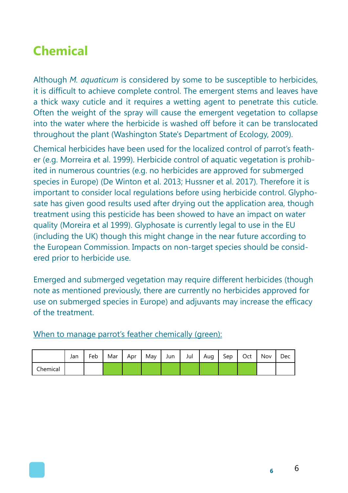## **Chemical**

Although *M. aquaticum* is considered by some to be susceptible to herbicides, it is difficult to achieve complete control. The emergent stems and leaves have a thick waxy cuticle and it requires a wetting agent to penetrate this cuticle. Often the weight of the spray will cause the emergent vegetation to collapse into the water where the herbicide is washed off before it can be translocated throughout the plant (Washington State's Department of Ecology, 2009).

Chemical herbicides have been used for the localized control of parrot's feather (e.g. Morreira et al. 1999). Herbicide control of aquatic vegetation is prohibited in numerous countries (e.g. no herbicides are approved for submerged species in Europe) (De Winton et al. 2013; Hussner et al. 2017). Therefore it is important to consider local regulations before using herbicide control. Glyphosate has given good results used after drying out the application area, though treatment using this pesticide has been showed to have an impact on water quality (Moreira et al 1999). Glyphosate is currently legal to use in the EU (including the UK) though this might change in the near future according to the European Commission. Impacts on non-target species should be considered prior to herbicide use.

Emerged and submerged vegetation may require different herbicides (though note as mentioned previously, there are currently no herbicides approved for use on submerged species in Europe) and adjuvants may increase the efficacy of the treatment.

|          | Jan | Feb | Mar | Apr | May | Jun | Jul | Aug | Sep | Oct | Nov | Dec |
|----------|-----|-----|-----|-----|-----|-----|-----|-----|-----|-----|-----|-----|
| Chemical |     |     |     |     |     |     |     |     |     |     |     |     |

#### When to manage parrot's feather chemically (green):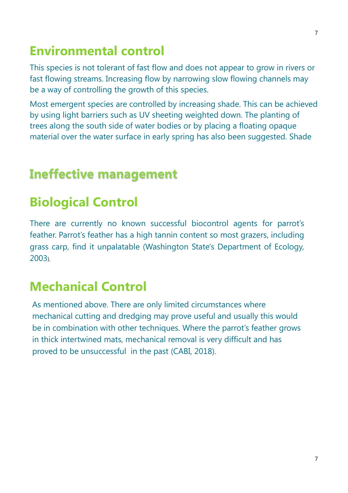## **Environmental control**

This species is not tolerant of fast flow and does not appear to grow in rivers or fast flowing streams. Increasing flow by narrowing slow flowing channels may be a way of controlling the growth of this species.

Most emergent species are controlled by increasing shade. This can be achieved by using light barriers such as UV sheeting weighted down. The planting of trees along the south side of water bodies or by placing a floating opaque material over the water surface in early spring has also been suggested. Shade

## **Ineffective management**

## **Biological Control**

There are currently no known successful biocontrol agents for parrot's feather. Parrot's feather has a high tannin content so most grazers, including grass carp, find it unpalatable (Washington State's Department of Ecology, 2003).

## **Mechanical Control**

As mentioned above. There are only limited circumstances where mechanical cutting and dredging may prove useful and usually this would be in combination with other techniques. Where the parrot's feather grows in thick intertwined mats, mechanical removal is very difficult and has proved to be unsuccessful in the past (CABI, 2018).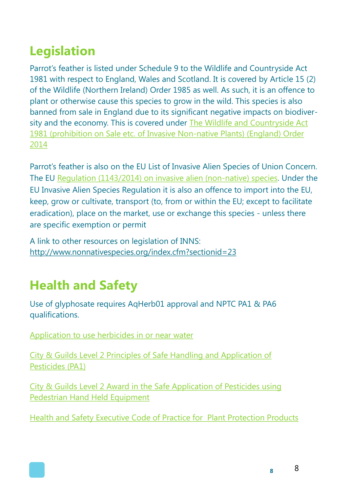# **Legislation**

Parrot's feather is listed under Schedule 9 to the Wildlife and Countryside Act 1981 with respect to England, Wales and Scotland. It is covered by Article 15 (2) of the Wildlife (Northern Ireland) Order 1985 as well. As such, it is an offence to plant or otherwise cause this species to grow in the wild. This species is also banned from sale in England due to its significant negative impacts on biodiversity and the economy. This is covered under [The Wildlife and Countryside Act](http://www.legislation.gov.uk/uksi/2014/538/made)  1981 (prohibition on Sale etc. of Invasive Non-native Plants) (England) Order [2014](http://www.legislation.gov.uk/uksi/2014/538/made)

Parrot's feather is also on the EU List of Invasive Alien Species of Union Concern. The EU [Regulation \(1143/2014\) on invasive alien \(non-native\) species.](http://eur-lex.europa.eu/legal-content/EN/TXT/?qid=1417443504720&uri=CELEX:32014R1143) Under the EU Invasive Alien Species Regulation it is also an offence to import into the EU, keep, grow or cultivate, transport (to, from or within the EU; except to facilitate eradication), place on the market, use or exchange this species - unless there are specific exemption or permit

A link to other resources on legislation of INNS: <http://www.nonnativespecies.org/index.cfm?sectionid=23>

# **Health and Safety**

Use of glyphosate requires AqHerb01 approval and NPTC PA1 & PA6 qualifications.

[Application to use herbicides in or near water](https://www.gov.uk/government/publications/application-to-use-herbicides-in-or-near-water)

[City & Guilds Level 2 Principles of Safe Handling and Application of](http://www.nptc.org.uk/qualificationschemedetail.aspx?id=515)  [Pesticides \(PA1\)](http://www.nptc.org.uk/qualificationschemedetail.aspx?id=515)

[City & Guilds Level 2 Award in the Safe Application of Pesticides using](http://www.nptc.org.uk/qualificationschemedetail.aspx?id=520)  [Pedestrian Hand Held Equipment](http://www.nptc.org.uk/qualificationschemedetail.aspx?id=520)

[Health and Safety Executive Code of Practice for Plant Protection Products](http://www.hse.gov.uk/pesticides/resources/C/Code_of_Practice_for_using_Plant_Protection_Products_-_Section_2.pdf)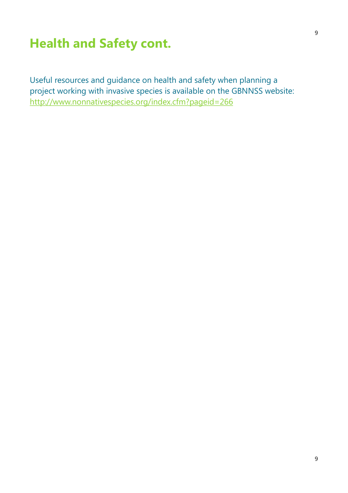## **Health and Safety cont.**

Useful resources and guidance on health and safety when planning a project working with invasive species is available on the GBNNSS website: <http://www.nonnativespecies.org/index.cfm?pageid=266>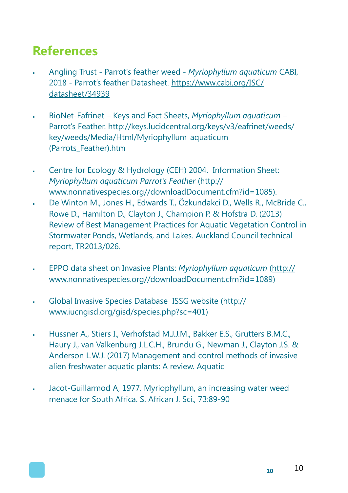## **References**

- Angling Trust Parrot's feather weed *[Myriophyllum aquaticum](https://secure.fera.defra.gov.uk/nonnativespecies/downloadDocument.cfm?id=1086)* CABI, 2018 - Parrot's feather Datasheet. [https://www.cabi.org/ISC/](https://www.cabi.org/ISC/datasheet/34939) [datasheet/34939](https://www.cabi.org/ISC/datasheet/34939)
- BioNet-Eafrinet Keys and Fact Sheets, *Myriophyllum aquaticum* Parrot's Feather. http://keys.lucidcentral.org/keys/v3/eafrinet/weeds/ key/weeds/Media/Html/Myriophyllum\_aquaticum\_ (Parrots\_Feather).htm
- Centre for Ecology & Hydrology (CEH) 2004. Information Sheet: *[Myriophyllum aquaticum Parrot's Feather](https://secure.fera.defra.gov.uk/nonnativespecies/downloadDocument.cfm?id=1085)* ([http://](http://www.nonnativespecies.org/downloadDocument.cfm?id=1085) [www.nonnativespecies.org//downloadDocument.cfm?id=1085\).](http://www.nonnativespecies.org/downloadDocument.cfm?id=1085)
- De Winton M., Jones H., Edwards T., Özkundakci D., Wells R., McBride C., Rowe D., Hamilton D., Clayton J., Champion P. & Hofstra D. (2013) Review of Best Management Practices for Aquatic Vegetation Control in Stormwater Ponds, Wetlands, and Lakes. Auckland Council technical report, TR2013/026.
- EPPO data sheet on Invasive Plants: *[Myriophyllum aquaticum](https://secure.fera.defra.gov.uk/nonnativespecies/downloadDocument.cfm?id=1089)* [\(http://](http://www.nonnativespecies.org/downloadDocument.cfm?id=1089) [www.nonnativespecies.org//downloadDocument.cfm?id=1089\)](http://www.nonnativespecies.org/downloadDocument.cfm?id=1089)
- [Global Invasive Species Database I](http://www.issg.org/database/species/ecology.asp?si=401&fr=1&sts=sss&lang=EN)SSG website (http:// www.iucngisd.org/gisd/species.php?sc=401)
- Hussner A., Stiers I., Verhofstad M.J.J.M., Bakker E.S., Grutters B.M.C., Haury J., van Valkenburg J.L.C.H., Brundu G., Newman J., Clayton J.S. & Anderson L.W.J. (2017) Management and control methods of invasive alien freshwater aquatic plants: A review. Aquatic
- Jacot-Guillarmod A, 1977. Myriophyllum, an increasing water weed menace for South Africa. S. African J. Sci., 73:89-90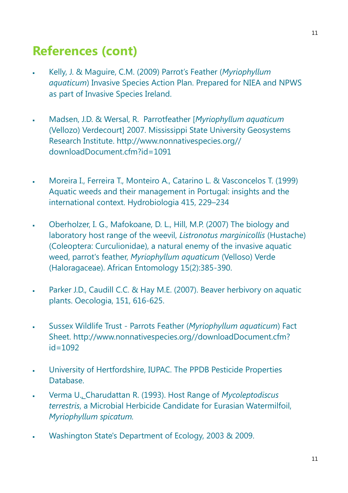### **References (cont)**

- Kelly, J. & Maguire, C.M. (2009) [Parrot's Feather \(](https://secure.fera.defra.gov.uk/nonnativespecies/downloadDocument.cfm?id=1087)*Myriophyllum aquaticum*[\) Invasive Species Action Plan.](https://secure.fera.defra.gov.uk/nonnativespecies/downloadDocument.cfm?id=1087) Prepared for NIEA and NPWS as part of Invasive Species Ireland.
- Madsen, J.D. & Wersal, R. Parrotfeather [*Myriophyllum aquaticum* (Vellozo) Verdecourt] 2007. Mississippi State University Geosystems Research Institute. http://www.nonnativespecies.org// downloadDocument.cfm?id=1091
- Moreira I., Ferreira T., Monteiro A., Catarino L. & Vasconcelos T. (1999) Aquatic weeds and their management in Portugal: insights and the international context. Hydrobiologia 415, 229–234
- [Oberholzer,](http://www.bioone.org/doi/abs/10.4001/1021-3589-15.2.385) I. G., Mafokoane, D. L., Hill, M.P. (2007) The biology and laboratory host range of the weevil, *Listronotus marginicollis* (Hustache) (Coleoptera: Curculionidae), a natural enemy of the invasive aquatic weed, parrot's feather, *Myriophyllum aquaticum* (Velloso) Verde (Haloragaceae). African Entomology 15(2):385-390.
- Parker J.D., Caudill C.C. & Hay M.E. (2007). Beaver herbivory on aquatic plants. Oecologia, 151, 616-625.
- Sussex Wildlife Trust Parrots Feather (*[Myriophyllum aquaticum](https://secure.fera.defra.gov.uk/nonnativespecies/downloadDocument.cfm?id=1092)*) Fact [Sheet.](https://secure.fera.defra.gov.uk/nonnativespecies/downloadDocument.cfm?id=1092) http://www.nonnativespecies.org//downloadDocument.cfm? id=1092
- University of Hertfordshire, IUPAC. The PPDB Pesticide Properties Database.
- [Verma U., Charudattan R.](https://www.sciencedirect.com/science/article/pii/S1049964483710364#!) (1993). Host Range of *Mycoleptodiscus terrestris*, a Microbial Herbicide Candidate for Eurasian Watermilfoil, *Myriophyllum spicatum.*
- Washington State's Department of Ecology, 2003 & 2009.